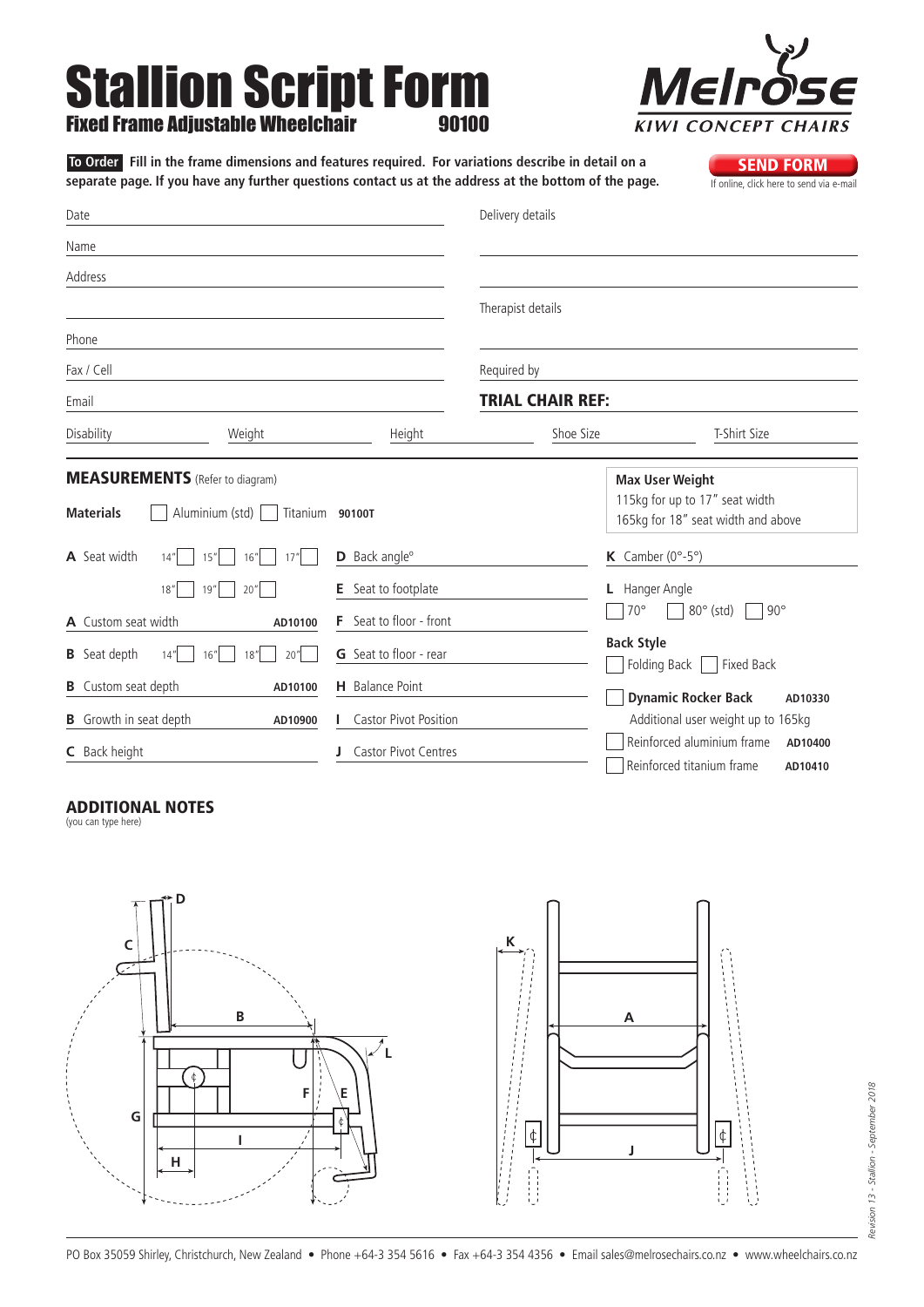# Stallion Script Form **Fixed Frame Adjustable**



Date Name Address Phone Fax / Cell Email Delivery details Therapist details Required by Trial Chair Ref: Disability Weight Height Shoe Size T-Shirt Size **SEND FORM**<br>If online, click here to send via e-mail **A** Seat width  $14^{\prime\prime}$   $15^{\prime\prime}$   $16^{\prime\prime}$   $17^{\prime\prime}$ **18"** 19" 20" **A** Custom seat width **AD10100 D** Back angle<sup>o</sup> **E** Seat to footplate **F** Seat to floor - front **K** Camber  $(0^\circ - 5^\circ)$ **L** Hanger Angle  $\Box$  70°  $\Box$  80° (std)  $\Box$  90° **Back Style To Order Fill in the frame dimensions and features required. For variations describe in detail on a**  separate page. If you have any further questions contact us at the address at the bottom of the page. **Materials** Aluminium (std) Titanium **90100T** MEASUREMENTS (Refer to diagram) **Max User Weight** 115kg for up to 17" seat width 165kg for 18" seat width and above

**B** Seat depth  $14^{n}$   $16^{n}$   $18^{n}$   $20^{n}$ **B** Custom seat depth **AD10100 B** Growth in seat depth **AD10900 C** Back height **G** Seat to floor - rear **H** Balance Point **I** Castor Pivot Position **J** Castor Pivot Centres Folding Back Fixed Back **Dynamic Rocker Back AD10330** Additional user weight up to 165kg Reinforced aluminium frame **AD10400** Reinforced titanium frame **AD10410**

## Additional Notes

(you can type here)

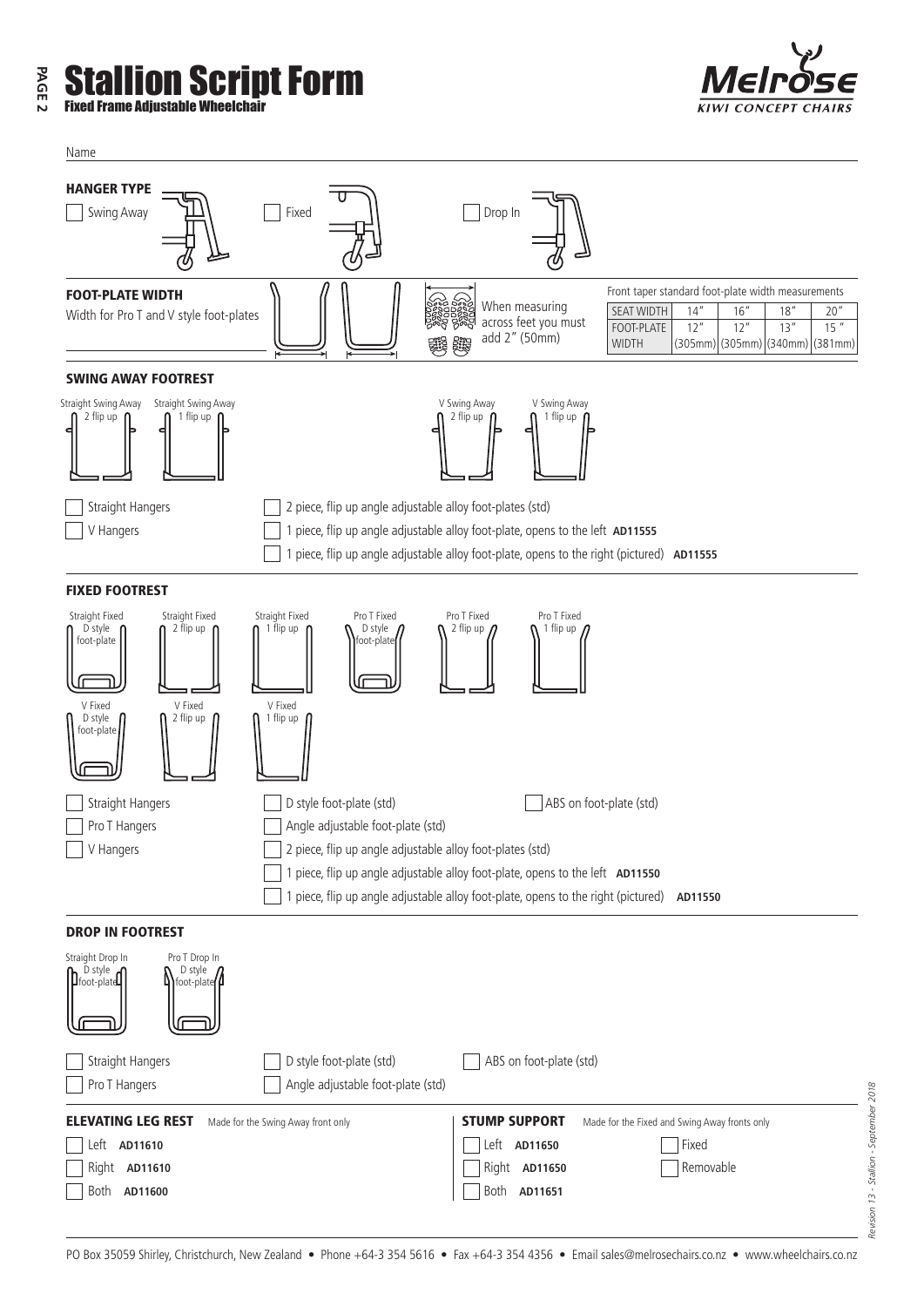### **PAGE 2** lion Script Form Fixed Frame Adjustable Wheelchair



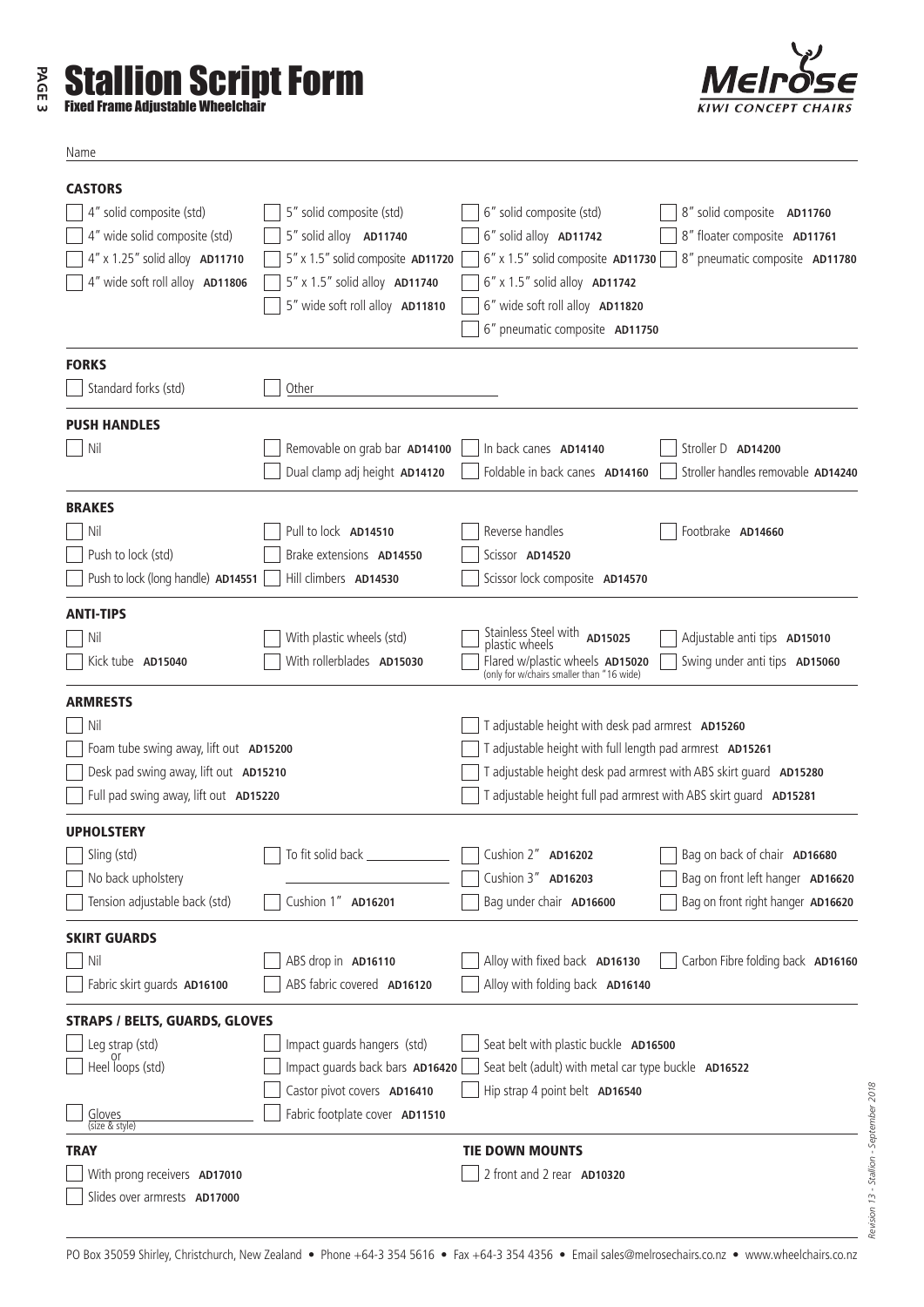| ω | <b>Example 13 Stallion Script Form</b><br><b>Fixed Frame Adiustable Wheelchair</b> |
|---|------------------------------------------------------------------------------------|
|---|------------------------------------------------------------------------------------|



| $\sim$ |
|--------|
|--------|

| <b>CASTORS</b>                         |                                      |                                                                              |                                    |
|----------------------------------------|--------------------------------------|------------------------------------------------------------------------------|------------------------------------|
| 4" solid composite (std)               | 5" solid composite (std)             | 6" solid composite (std)                                                     | 8" solid composite AD11760         |
| 4" wide solid composite (std)          | 5" solid alloy AD11740               | 6" solid alloy AD11742                                                       | 8" floater composite AD11761       |
| 4" x 1.25" solid alloy AD11710         | 5" x 1.5" solid composite AD11720    | 6" x 1.5" solid composite AD11730                                            | 8" pneumatic composite AD11780     |
| 4" wide soft roll alloy AD11806        | 5" x 1.5" solid alloy <b>AD11740</b> | 6" x 1.5" solid alloy <b>AD11742</b>                                         |                                    |
|                                        | 5" wide soft roll alloy AD11810      | 6" wide soft roll alloy AD11820                                              |                                    |
|                                        |                                      | 6" pneumatic composite AD11750                                               |                                    |
| <b>FORKS</b>                           |                                      |                                                                              |                                    |
| Standard forks (std)                   | Other                                |                                                                              |                                    |
| <b>PUSH HANDLES</b>                    |                                      |                                                                              |                                    |
| Nil                                    | Removable on grab bar AD14100        | In back canes AD14140                                                        | Stroller D AD14200                 |
|                                        | Dual clamp adj height AD14120        | Foldable in back canes AD14160                                               | Stroller handles removable AD14240 |
| <b>BRAKES</b>                          |                                      |                                                                              |                                    |
| Nil                                    | Pull to lock AD14510                 | Reverse handles                                                              | Footbrake AD14660                  |
| Push to lock (std)                     | Brake extensions AD14550             | Scissor AD14520                                                              |                                    |
| Push to lock (long handle) AD14551     | Hill climbers AD14530                | Scissor lock composite AD14570                                               |                                    |
| <b>ANTI-TIPS</b>                       |                                      |                                                                              |                                    |
| Nil                                    | With plastic wheels (std)            | Stainless Steel with <b>AD15025</b><br>plastic wheels                        | Adjustable anti tips AD15010       |
| Kick tube AD15040                      | With rollerblades AD15030            | Flared w/plastic wheels AD15020<br>(only for w/chairs smaller than "16 wide) | Swing under anti tips AD15060      |
| <b>ARMRESTS</b>                        |                                      |                                                                              |                                    |
| Nil                                    |                                      | T adjustable height with desk pad armrest AD15260                            |                                    |
| Foam tube swing away, lift out AD15200 |                                      | T adjustable height with full length pad armrest AD15261                     |                                    |
| Desk pad swing away, lift out AD15210  |                                      | T adjustable height desk pad armrest with ABS skirt quard AD15280            |                                    |
| Full pad swing away, lift out AD15220  |                                      | T adjustable height full pad armrest with ABS skirt guard AD15281            |                                    |
| <b>UPHOLSTERY</b>                      |                                      |                                                                              |                                    |
| Sling (std)                            | To fit solid back _________          | Cushion 2" AD16202                                                           | Bag on back of chair AD16680       |
| No back upholstery                     |                                      | Cushion 3" AD16203                                                           | Bag on front left hanger AD16620   |
| Tension adjustable back (std)          | Cushion 1" AD16201                   | Bag under chair AD16600                                                      | Bag on front right hanger AD16620  |
| <b>SKIRT GUARDS</b>                    |                                      |                                                                              |                                    |
| Nil                                    | ABS drop in AD16110                  | Alloy with fixed back AD16130                                                | Carbon Fibre folding back AD16160  |
| Fabric skirt guards AD16100            | ABS fabric covered AD16120           | Alloy with folding back AD16140                                              |                                    |
| <b>STRAPS / BELTS, GUARDS, GLOVES</b>  |                                      |                                                                              |                                    |
| Leg strap (std)                        | Impact guards hangers (std)          | Seat belt with plastic buckle AD16500                                        |                                    |
| Heel loops (std)                       | Impact guards back bars AD16420      | Seat belt (adult) with metal car type buckle AD16522                         |                                    |
|                                        | Castor pivot covers AD16410          | Hip strap 4 point belt AD16540                                               |                                    |
| Gloves<br>(size & style)               | Fabric footplate cover AD11510       |                                                                              |                                    |
| <b>TRAY</b>                            |                                      | <b>TIE DOWN MOUNTS</b>                                                       |                                    |
| With prong receivers AD17010           |                                      | 2 front and 2 rear AD10320                                                   |                                    |
| Slides over armrests AD17000           |                                      |                                                                              |                                    |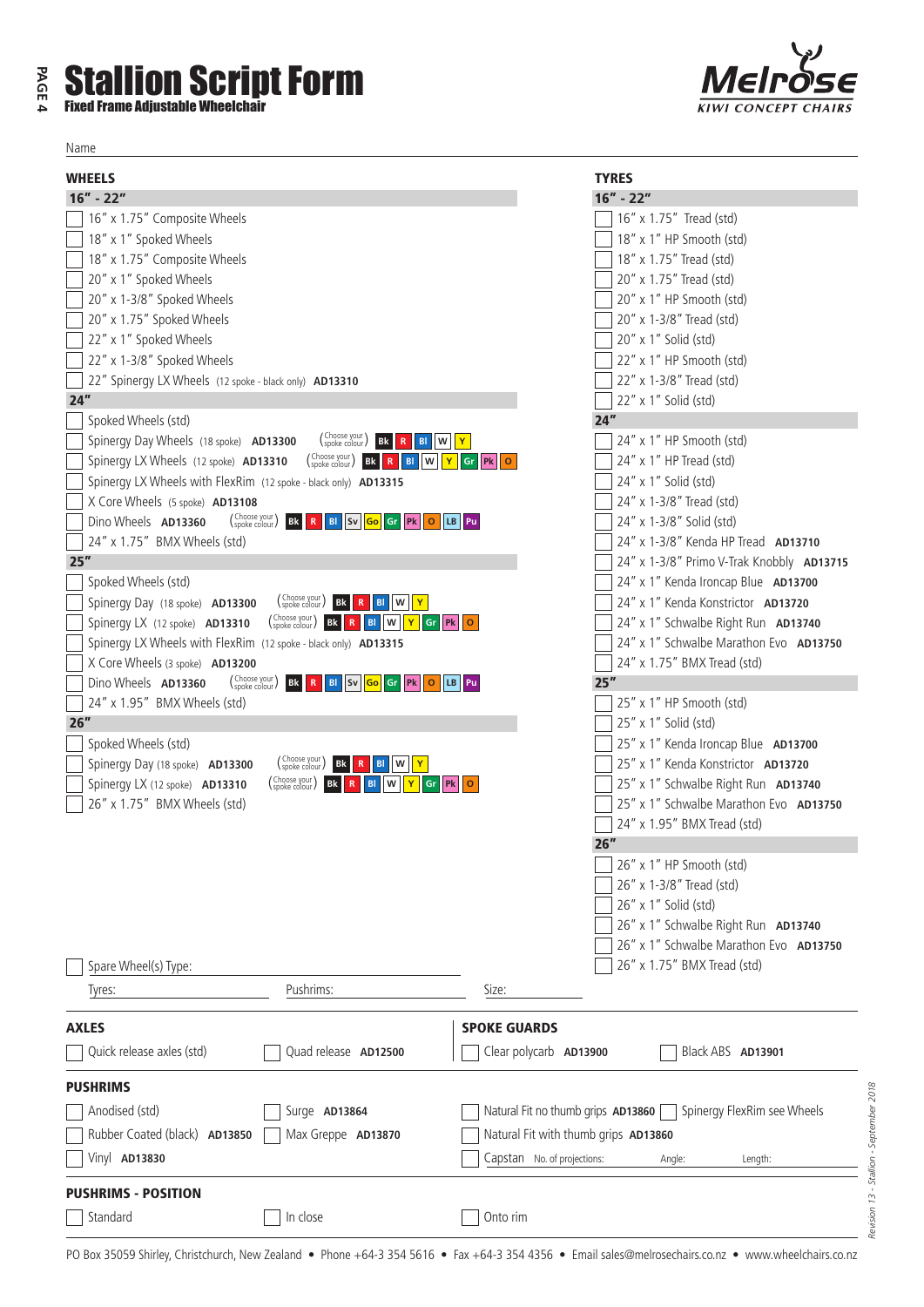#### Fixed Frame Adjustable Wheelchair Name WHEELS 16" **- 22"** 16" x 1.75" Composite Wheels 18" x 1" Spoked Wheels 18" x 1.75" Composite Wheels 20" x 1" Spoked Wheels 20" x 1-3/8" Spoked Wheels 20" x 1.75" Spoked Wheels 22" x 1" Spoked Wheels 22" x 1-3/8" Spoked Wheels 22" Spinergy LX Wheels (12 spoke - black only) **AD13310** 24" Spoked Wheels (std) Spinergy Day Wheels (18 spoke) **AD13300** Spinergy LX Wheels (12 spoke) **AD13310 Bk <sup>R</sup> Bl <sup>W</sup> <sup>Y</sup> Gr Pk <sup>O</sup>** Choose your (spoke colour ) Spinergy LX Wheels with FlexRim (12 spoke - black only) **AD13315** X Core Wheels (5 spoke) **AD13108** Dino Wheels **AD13360**  $\sqrt{24''}$  x 1.75" BMX Wheels (std) 25" Spoked Wheels (std) Spinergy Day (18 spoke) **AD13300**  $\begin{bmatrix} \text{Sphere} \end{bmatrix}$  **Bl**  $\begin{bmatrix} \text{R} \end{bmatrix}$  **Bl**  $\begin{bmatrix} \text{N} \end{bmatrix}$  **PK**  $\begin{bmatrix} \text{R} \end{bmatrix}$  **Bl**  $\begin{bmatrix} \text{N} \end{bmatrix}$  **PK**  $\begin{bmatrix} \text{R} \end{bmatrix}$  **BL**  $\begin{bmatrix} \text{N} \end{bmatrix}$  **PK**  $\begin{bmatrix} \text{R} \end{bmatrix}$  **PK**  $\begin{bmatrix} \text{R} \end{bmatrix}$ Spinergy LX Wheels with FlexRim (12 spoke - black only) **AD13315** X Core Wheels (3 spoke) **AD13200** Dino Wheels **AD13360**  $\sqrt{24''} \times 1.95''$  BMX Wheels (std) 26" Spoked Wheels (std) Spinergy Day (18 spoke) **AD13300** TYRES 16" **- 22"**  16" x 1.75" Tread (std) 18" x 1" HP Smooth (std) 18" x 1.75" Tread (std) 20" x 1.75" Tread (std) 20" x 1" HP Smooth (std) 20" x 1-3/8" Tread (std) 20" x 1" Solid (std) 22" x 1" HP Smooth (std) 22" x 1-3/8" Tread (std) 22" x 1" Solid (std)  $24"$ 24" x 1" HP Smooth (std) 24" x 1" HP Tread (std) 24" x 1" Solid (std) 24" x 1-3/8" Tread (std) 24" x 1-3/8" Solid (std) 24" x 1-3/8" Kenda HP Tread **AD13710** 24" x 1-3/8" Primo V-Trak Knobbly **AD13715** 24" x 1" Kenda Ironcap Blue **AD13700** 24" x 1" Kenda Konstrictor **AD13720** 24" x 1" Schwalbe Right Run **AD13740** 24" x 1" Schwalbe Marathon Evo **AD13750** 24" x 1.75" BMX Tread (std) 25"  $\sqrt{25}$ " x 1" HP Smooth (std)  $\sqrt{25}$ " x 1" Solid (std) 25" x 1" Kenda Ironcap Blue **AD13700** 25" x 1" Kenda Konstrictor **AD13720**  $\begin{array}{|c|c|c|c|c|}\n\hline\n\text{Choose volume} & \text{Bk} & \text{Bl} & \text{W} & \text{Y}\n\end{array}$  $\begin{array}{|c|c|c|c|c|}\n\hline\n\text{Choose your} & \text{Bk} & \text{R} & \text{BI} & \text{W} & \text{Y}\n\end{array}$  $\begin{array}{|c|c|c|c|c|}\n\hline\n\text{Choose volume} & \text{Bk} & \text{R} & \text{BI} & \text{W} & \text{Y}\n\end{array}$  $\left(\begin{array}{c|c}\n\text{Choose your} \\
\text{solve color}\n\end{array}\right)$  **Bk R BI** Sv **Go** Gr **Pk** O LB Pu  $\left(\begin{array}{c|c}\n\text{Choose your} \\
\text{spoke colour}\n\end{array}\right)$  **Bk R BI** Sv **Go** Gr **Pk** O LB Pu

 $\begin{bmatrix}$  Choose your  $\end{bmatrix}$  **Bk R BI W Y** Gr **Pk O** 

| Spare Wheel(s) Type:          |                      | 26" x 1" Schwalbe Marathon Evo <b>AD13750</b><br>26" x 1.75" BMX Tread (std) |  |  |  |  |
|-------------------------------|----------------------|------------------------------------------------------------------------------|--|--|--|--|
| Tyres:                        | Pushrims:            | Size:                                                                        |  |  |  |  |
| <b>AXLES</b>                  |                      | <b>SPOKE GUARDS</b>                                                          |  |  |  |  |
| Quick release axles (std)     | Quad release AD12500 | Clear polycarb AD13900<br>Black ABS AD13901                                  |  |  |  |  |
| <b>PUSHRIMS</b>               |                      |                                                                              |  |  |  |  |
| Anodised (std)                | Surge AD13864        | Natural Fit no thumb grips AD13860<br>Spinergy FlexRim see Wheels            |  |  |  |  |
| Rubber Coated (black) AD13850 | Max Greppe AD13870   | Natural Fit with thumb grips AD13860                                         |  |  |  |  |
| Vinyl AD13830                 |                      | Capstan No. of projections:<br>Angle:<br>Length:                             |  |  |  |  |
| <b>PUSHRIMS - POSITION</b>    |                      |                                                                              |  |  |  |  |
| Standard                      | In close             | Onto rim                                                                     |  |  |  |  |

## **PAGE 4** llion Script Form

Spinergy LX (12 spoke) **AD13310** 26" x 1.75" BMX Wheels (std)



25" x 1" Schwalbe Right Run **AD13740** 25" x 1" Schwalbe Marathon Evo **AD13750**

26" x 1" Schwalbe Right Run **AD13740**

 $\sqrt{24''}$  x 1.95" BMX Tread (std)

 $\sqrt{26}$  x 1" HP Smooth (std)  $\sqrt{2}$  26" x 1-3/8" Tread (std)  $\sqrt{26}$ " x 1" Solid (std)

26"

*Revision 13 - Stallion - September 2018*

Revision 13 - Stallion - September 2018